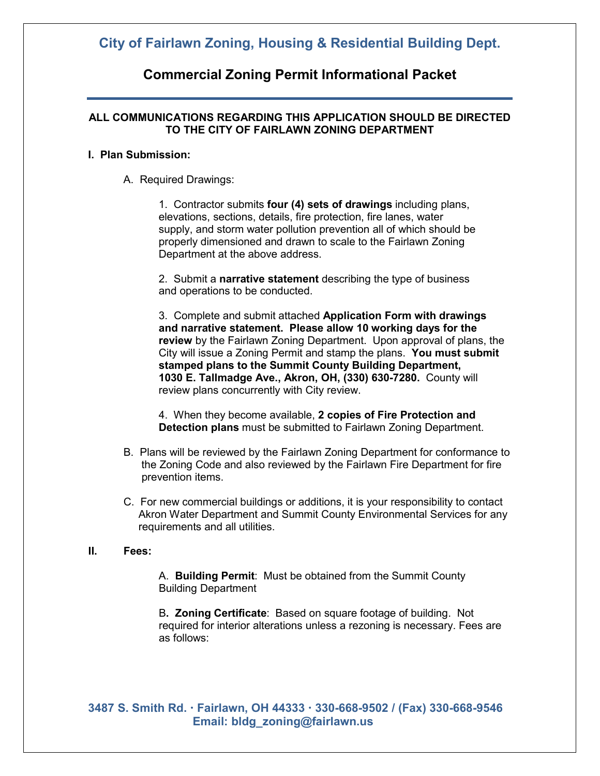## **City of Fairlawn Zoning, Housing & Residential Building Dept.**

## **Commercial Zoning Permit Informational Packet**

### **ALL COMMUNICATIONS REGARDING THIS APPLICATION SHOULD BE DIRECTED TO THE CITY OF FAIRLAWN ZONING DEPARTMENT**

#### **I. Plan Submission:**

A. Required Drawings:

1. Contractor submits **four (4) sets of drawings** including plans, elevations, sections, details, fire protection, fire lanes, water supply, and storm water pollution prevention all of which should be properly dimensioned and drawn to scale to the Fairlawn Zoning Department at the above address.

2. Submit a **narrative statement** describing the type of business and operations to be conducted.

3. Complete and submit attached **Application Form with drawings and narrative statement. Please allow 10 working days for the review** by the Fairlawn Zoning Department. Upon approval of plans, the City will issue a Zoning Permit and stamp the plans. **You must submit stamped plans to the Summit County Building Department, 1030 E. Tallmadge Ave., Akron, OH, (330) 630-7280.** County will review plans concurrently with City review.

4. When they become available, **2 copies of Fire Protection and Detection plans** must be submitted to Fairlawn Zoning Department.

- B. Plans will be reviewed by the Fairlawn Zoning Department for conformance to the Zoning Code and also reviewed by the Fairlawn Fire Department for fire prevention items.
- C. For new commercial buildings or additions, it is your responsibility to contact Akron Water Department and Summit County Environmental Services for any requirements and all utilities.

### **II. Fees:**

A. **Building Permit**: Must be obtained from the Summit County Building Department

B**. Zoning Certificate**: Based on square footage of building. Not required for interior alterations unless a rezoning is necessary. Fees are as follows: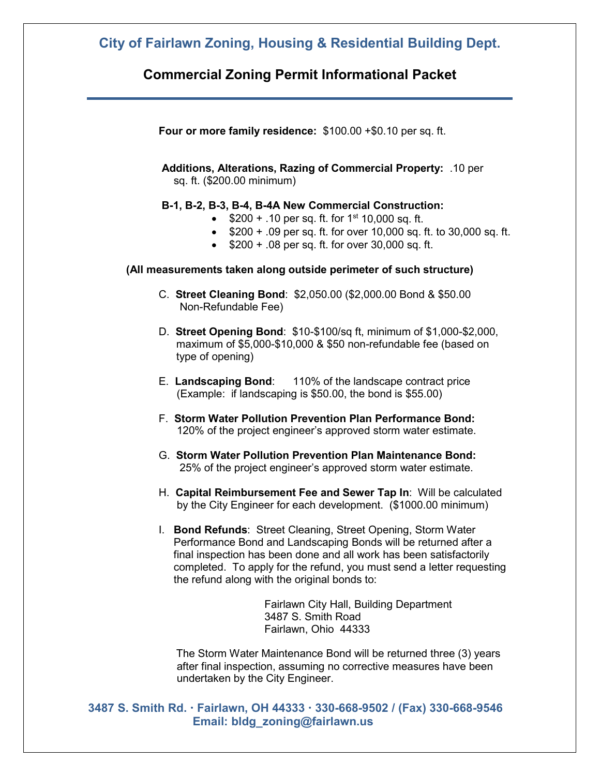## **City of Fairlawn Zoning, Housing & Residential Building Dept.**

### **Commercial Zoning Permit Informational Packet**

**Four or more family residence:** \$100.00 +\$0.10 per sq. ft.

**Additions, Alterations, Razing of Commercial Property:** .10 per sq. ft. (\$200.00 minimum)

### **B-1, B-2, B-3, B-4, B-4A New Commercial Construction:**

- $$200 + .10$  per sq. ft. for 1<sup>st</sup> 10,000 sq. ft.
- \$200 + .09 per sq. ft. for over 10,000 sq. ft. to 30,000 sq. ft.
- \$200 + .08 per sq. ft. for over 30,000 sq. ft.

### **(All measurements taken along outside perimeter of such structure)**

- C. **Street Cleaning Bond**: \$2,050.00 (\$2,000.00 Bond & \$50.00 Non-Refundable Fee)
- D. **Street Opening Bond**: \$10-\$100/sq ft, minimum of \$1,000-\$2,000, maximum of \$5,000-\$10,000 & \$50 non-refundable fee (based on type of opening)
- E. **Landscaping Bond**: 110% of the landscape contract price (Example: if landscaping is \$50.00, the bond is \$55.00)
- F. **Storm Water Pollution Prevention Plan Performance Bond:** 120% of the project engineer's approved storm water estimate.
- G. **Storm Water Pollution Prevention Plan Maintenance Bond:** 25% of the project engineer's approved storm water estimate.
- H. **Capital Reimbursement Fee and Sewer Tap In**: Will be calculated by the City Engineer for each development. (\$1000.00 minimum)
- I. **Bond Refunds**: Street Cleaning, Street Opening, Storm Water Performance Bond and Landscaping Bonds will be returned after a final inspection has been done and all work has been satisfactorily completed. To apply for the refund, you must send a letter requesting the refund along with the original bonds to:

Fairlawn City Hall, Building Department 3487 S. Smith Road Fairlawn, Ohio 44333

The Storm Water Maintenance Bond will be returned three (3) years after final inspection, assuming no corrective measures have been undertaken by the City Engineer.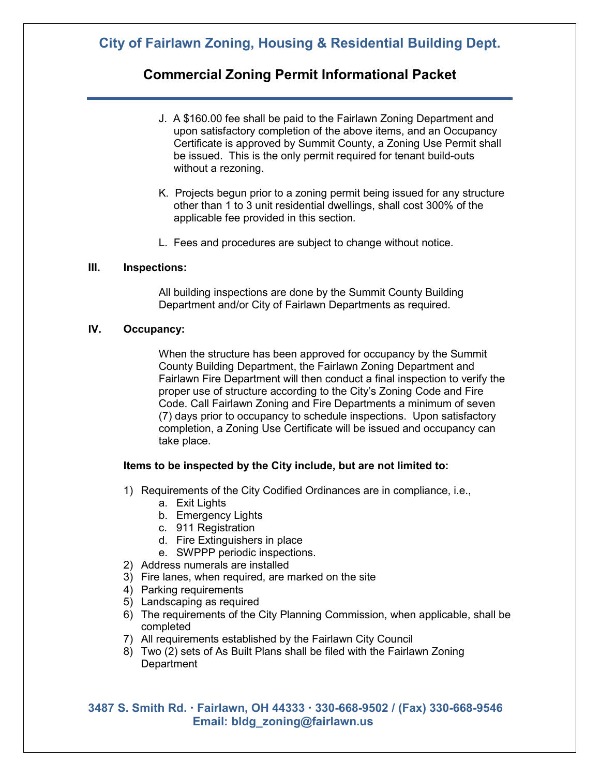# **City of Fairlawn Zoning, Housing & Residential Building Dept.**

## **Commercial Zoning Permit Informational Packet**

- J. A \$160.00 fee shall be paid to the Fairlawn Zoning Department and upon satisfactory completion of the above items, and an Occupancy Certificate is approved by Summit County, a Zoning Use Permit shall be issued. This is the only permit required for tenant build-outs without a rezoning.
- K. Projects begun prior to a zoning permit being issued for any structure other than 1 to 3 unit residential dwellings, shall cost 300% of the applicable fee provided in this section.
- L. Fees and procedures are subject to change without notice.

#### **III. Inspections:**

All building inspections are done by the Summit County Building Department and/or City of Fairlawn Departments as required.

### **IV. Occupancy:**

When the structure has been approved for occupancy by the Summit County Building Department, the Fairlawn Zoning Department and Fairlawn Fire Department will then conduct a final inspection to verify the proper use of structure according to the City's Zoning Code and Fire Code. Call Fairlawn Zoning and Fire Departments a minimum of seven (7) days prior to occupancy to schedule inspections. Upon satisfactory completion, a Zoning Use Certificate will be issued and occupancy can take place.

### **Items to be inspected by the City include, but are not limited to:**

- 1) Requirements of the City Codified Ordinances are in compliance, i.e.,
	- a. Exit Lights
	- b. Emergency Lights
	- c. 911 Registration
	- d. Fire Extinguishers in place
	- e. SWPPP periodic inspections.
- 2) Address numerals are installed
- 3) Fire lanes, when required, are marked on the site
- 4) Parking requirements
- 5) Landscaping as required
- 6) The requirements of the City Planning Commission, when applicable, shall be completed
- 7) All requirements established by the Fairlawn City Council
- 8) Two (2) sets of As Built Plans shall be filed with the Fairlawn Zoning **Department**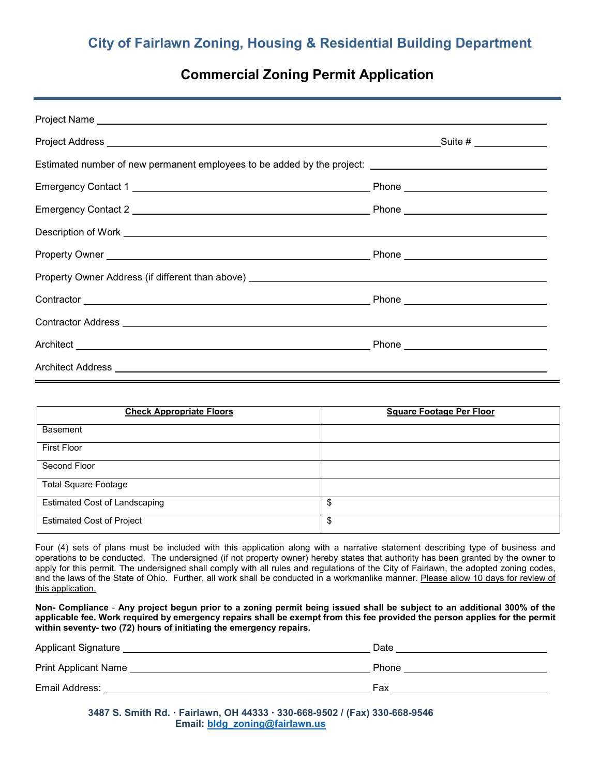# **City of Fairlawn Zoning, Housing & Residential Building Department**

## **Commercial Zoning Permit Application**

| Estimated number of new permanent employees to be added by the project: ____________________________ |  |
|------------------------------------------------------------------------------------------------------|--|
|                                                                                                      |  |
|                                                                                                      |  |
|                                                                                                      |  |
|                                                                                                      |  |
|                                                                                                      |  |
|                                                                                                      |  |
|                                                                                                      |  |
|                                                                                                      |  |
|                                                                                                      |  |

| <b>Check Appropriate Floors</b>      | <b>Square Footage Per Floor</b> |
|--------------------------------------|---------------------------------|
| <b>Basement</b>                      |                                 |
| <b>First Floor</b>                   |                                 |
| Second Floor                         |                                 |
| <b>Total Square Footage</b>          |                                 |
| <b>Estimated Cost of Landscaping</b> | \$                              |
| <b>Estimated Cost of Project</b>     | \$                              |

Four (4) sets of plans must be included with this application along with a narrative statement describing type of business and operations to be conducted. The undersigned (if not property owner) hereby states that authority has been granted by the owner to apply for this permit. The undersigned shall comply with all rules and regulations of the City of Fairlawn, the adopted zoning codes, and the laws of the State of Ohio. Further, all work shall be conducted in a workmanlike manner. Please allow 10 days for review of this application.

**Non- Compliance** - **Any project begun prior to a zoning permit being issued shall be subject to an additional 300% of the applicable fee. Work required by emergency repairs shall be exempt from this fee provided the person applies for the permit within seventy- two (72) hours of initiating the emergency repairs.** 

| <b>Applicant Signature</b>  | Date  |
|-----------------------------|-------|
| <b>Print Applicant Name</b> | Phone |
| Email Address:              | Fax   |